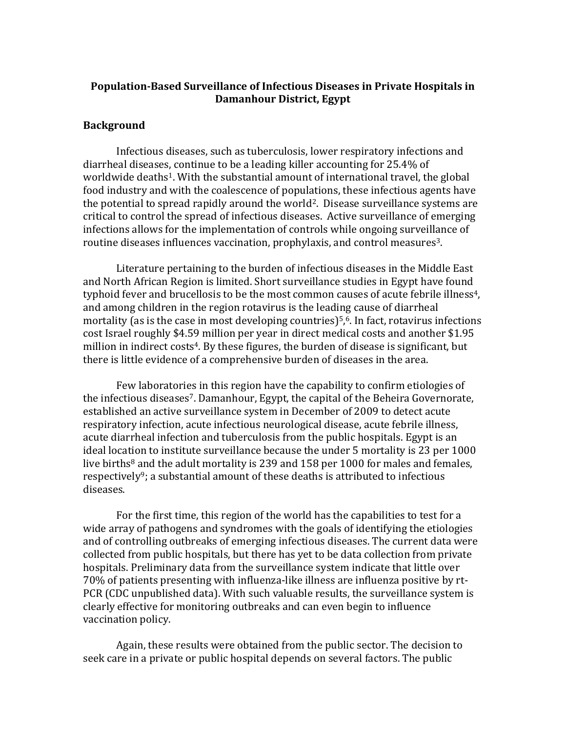## **Population-Based Surveillance of Infectious Diseases in Private Hospitals in Damanhour District, Egypt**

### **Background**

Infectious diseases, such as tuberculosis, lower respiratory infections and diarrheal diseases, continue to be a leading killer accounting for 25.4% of worldwide deaths<sup>1</sup>. With the substantial amount of international travel, the global food industry and with the coalescence of populations, these infectious agents have the potential to spread rapidly around the world<sup>2</sup>. Disease surveillance systems are critical to control the spread of infectious diseases. Active surveillance of emerging infections allows for the implementation of controls while ongoing surveillance of routine diseases influences vaccination, prophylaxis, and control measures<sup>3</sup>.

Literature pertaining to the burden of infectious diseases in the Middle East and North African Region is limited. Short surveillance studies in Egypt have found typhoid fever and brucellosis to be the most common causes of acute febrile illness<sup>4</sup>, and among children in the region rotavirus is the leading cause of diarrheal mortality (as is the case in most developing countries) $5,6$ . In fact, rotavirus infections cost Israel roughly \$4.59 million per year in direct medical costs and another \$1.95 million in indirect costs<sup>4</sup>. By these figures, the burden of disease is significant, but there is little evidence of a comprehensive burden of diseases in the area.

Few laboratories in this region have the capability to confirm etiologies of the infectious diseases<sup>7</sup>. Damanhour, Egypt, the capital of the Beheira Governorate, established an active surveillance system in December of 2009 to detect acute respiratory infection, acute infectious neurological disease, acute febrile illness, acute diarrheal infection and tuberculosis from the public hospitals. Egypt is an ideal location to institute surveillance because the under 5 mortality is 23 per 1000 live births<sup>8</sup> and the adult mortality is 239 and 158 per 1000 for males and females, respectively<sup>9</sup>; a substantial amount of these deaths is attributed to infectious diseases.

For the first time, this region of the world has the capabilities to test for a wide array of pathogens and syndromes with the goals of identifying the etiologies and of controlling outbreaks of emerging infectious diseases. The current data were collected from public hospitals, but there has yet to be data collection from private hospitals. Preliminary data from the surveillance system indicate that little over 70% of patients presenting with influenza-like illness are influenza positive by rt-PCR (CDC unpublished data). With such valuable results, the surveillance system is clearly effective for monitoring outbreaks and can even begin to influence vaccination policy.

Again, these results were obtained from the public sector. The decision to seek care in a private or public hospital depends on several factors. The public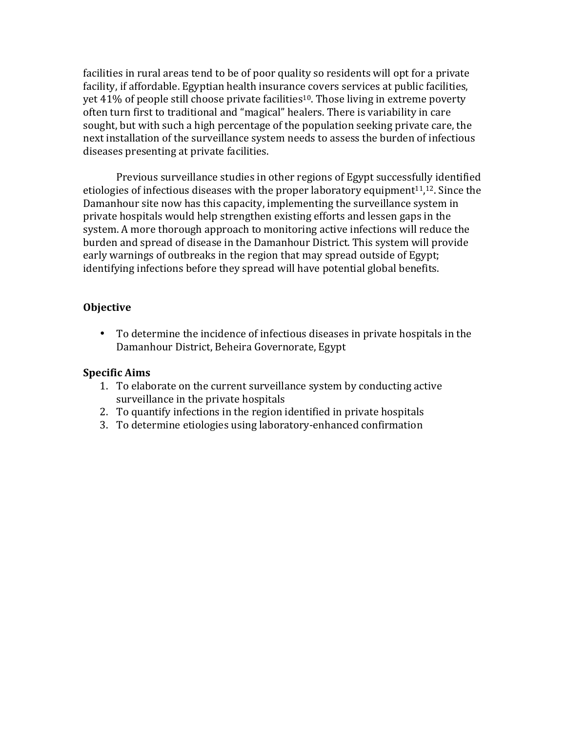facilities in rural areas tend to be of poor quality so residents will opt for a private facility, if affordable. Egyptian health insurance covers services at public facilities, yet  $41\%$  of people still choose private facilities<sup>10</sup>. Those living in extreme poverty often turn first to traditional and "magical" healers. There is variability in care sought, but with such a high percentage of the population seeking private care, the next installation of the surveillance system needs to assess the burden of infectious diseases presenting at private facilities.

Previous surveillance studies in other regions of Egypt successfully identified etiologies of infectious diseases with the proper laboratory equipment $11,12$ . Since the Damanhour site now has this capacity, implementing the surveillance system in private hospitals would help strengthen existing efforts and lessen gaps in the system. A more thorough approach to monitoring active infections will reduce the burden and spread of disease in the Damanhour District. This system will provide early warnings of outbreaks in the region that may spread outside of Egypt; identifying infections before they spread will have potential global benefits.

# **Objective**

• To determine the incidence of infectious diseases in private hospitals in the Damanhour District, Beheira Governorate, Egypt

# **Specific Aims**

- 1. To elaborate on the current surveillance system by conducting active surveillance in the private hospitals
- 2. To quantify infections in the region identified in private hospitals
- 3. To determine etiologies using laboratory-enhanced confirmation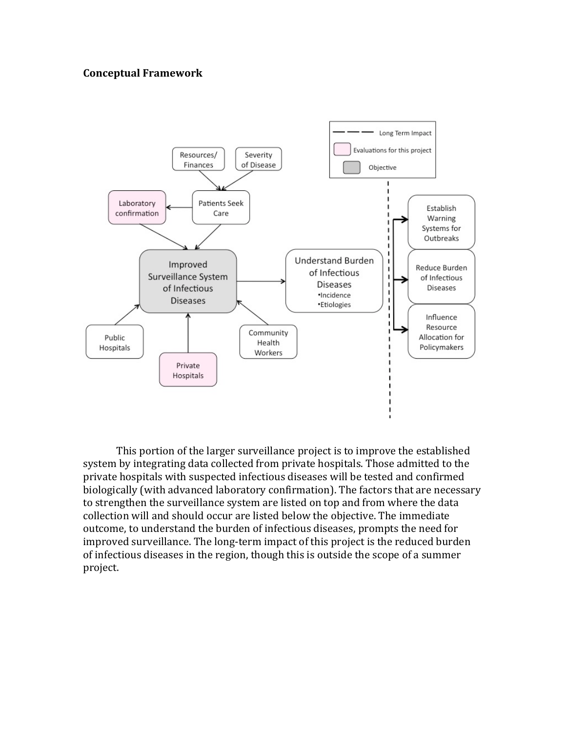## **Conceptual Framework**



This portion of the larger surveillance project is to improve the established system by integrating data collected from private hospitals. Those admitted to the private hospitals with suspected infectious diseases will be tested and confirmed biologically (with advanced laboratory confirmation). The factors that are necessary to strengthen the surveillance system are listed on top and from where the data collection will and should occur are listed below the objective. The immediate outcome, to understand the burden of infectious diseases, prompts the need for improved surveillance. The long-term impact of this project is the reduced burden of infectious diseases in the region, though this is outside the scope of a summer project.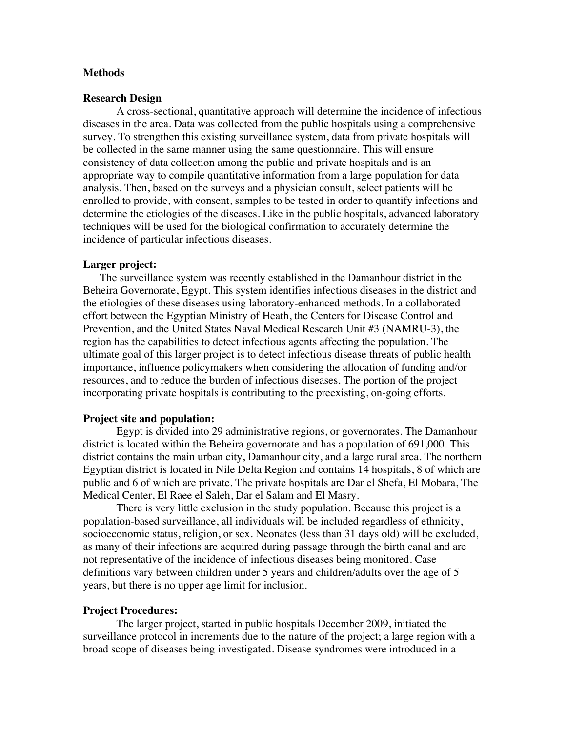#### **Methods**

#### **Research Design**

A cross-sectional, quantitative approach will determine the incidence of infectious diseases in the area. Data was collected from the public hospitals using a comprehensive survey. To strengthen this existing surveillance system, data from private hospitals will be collected in the same manner using the same questionnaire. This will ensure consistency of data collection among the public and private hospitals and is an appropriate way to compile quantitative information from a large population for data analysis. Then, based on the surveys and a physician consult, select patients will be enrolled to provide, with consent, samples to be tested in order to quantify infections and determine the etiologies of the diseases. Like in the public hospitals, advanced laboratory techniques will be used for the biological confirmation to accurately determine the incidence of particular infectious diseases.

### **Larger project:**

The surveillance system was recently established in the Damanhour district in the Beheira Governorate, Egypt. This system identifies infectious diseases in the district and the etiologies of these diseases using laboratory-enhanced methods. In a collaborated effort between the Egyptian Ministry of Heath, the Centers for Disease Control and Prevention, and the United States Naval Medical Research Unit #3 (NAMRU-3), the region has the capabilities to detect infectious agents affecting the population. The ultimate goal of this larger project is to detect infectious disease threats of public health importance, influence policymakers when considering the allocation of funding and/or resources, and to reduce the burden of infectious diseases. The portion of the project incorporating private hospitals is contributing to the preexisting, on-going efforts.

### **Project site and population:**

Egypt is divided into 29 administrative regions, or governorates. The Damanhour district is located within the Beheira governorate and has a population of 691,000. This district contains the main urban city, Damanhour city, and a large rural area. The northern Egyptian district is located in Nile Delta Region and contains 14 hospitals, 8 of which are public and 6 of which are private. The private hospitals are Dar el Shefa, El Mobara, The Medical Center, El Raee el Saleh, Dar el Salam and El Masry.

There is very little exclusion in the study population. Because this project is a population-based surveillance, all individuals will be included regardless of ethnicity, socioeconomic status, religion, or sex. Neonates (less than 31 days old) will be excluded, as many of their infections are acquired during passage through the birth canal and are not representative of the incidence of infectious diseases being monitored. Case definitions vary between children under 5 years and children/adults over the age of 5 years, but there is no upper age limit for inclusion.

#### **Project Procedures:**

The larger project, started in public hospitals December 2009, initiated the surveillance protocol in increments due to the nature of the project; a large region with a broad scope of diseases being investigated. Disease syndromes were introduced in a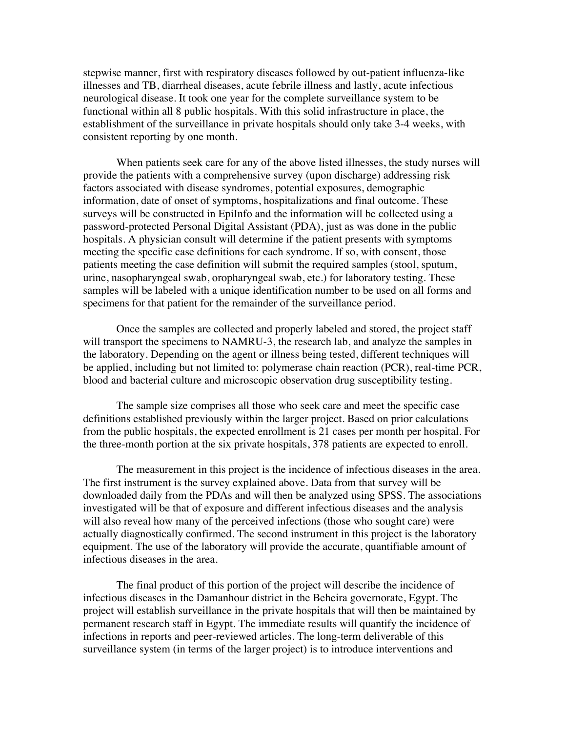stepwise manner, first with respiratory diseases followed by out-patient influenza-like illnesses and TB, diarrheal diseases, acute febrile illness and lastly, acute infectious neurological disease. It took one year for the complete surveillance system to be functional within all 8 public hospitals. With this solid infrastructure in place, the establishment of the surveillance in private hospitals should only take 3-4 weeks, with consistent reporting by one month.

When patients seek care for any of the above listed illnesses, the study nurses will provide the patients with a comprehensive survey (upon discharge) addressing risk factors associated with disease syndromes, potential exposures, demographic information, date of onset of symptoms, hospitalizations and final outcome. These surveys will be constructed in EpiInfo and the information will be collected using a password-protected Personal Digital Assistant (PDA), just as was done in the public hospitals. A physician consult will determine if the patient presents with symptoms meeting the specific case definitions for each syndrome. If so, with consent, those patients meeting the case definition will submit the required samples (stool, sputum, urine, nasopharyngeal swab, oropharyngeal swab, etc.) for laboratory testing. These samples will be labeled with a unique identification number to be used on all forms and specimens for that patient for the remainder of the surveillance period.

Once the samples are collected and properly labeled and stored, the project staff will transport the specimens to NAMRU-3, the research lab, and analyze the samples in the laboratory. Depending on the agent or illness being tested, different techniques will be applied, including but not limited to: polymerase chain reaction (PCR), real-time PCR, blood and bacterial culture and microscopic observation drug susceptibility testing.

The sample size comprises all those who seek care and meet the specific case definitions established previously within the larger project. Based on prior calculations from the public hospitals, the expected enrollment is 21 cases per month per hospital. For the three-month portion at the six private hospitals, 378 patients are expected to enroll.

The measurement in this project is the incidence of infectious diseases in the area. The first instrument is the survey explained above. Data from that survey will be downloaded daily from the PDAs and will then be analyzed using SPSS. The associations investigated will be that of exposure and different infectious diseases and the analysis will also reveal how many of the perceived infections (those who sought care) were actually diagnostically confirmed. The second instrument in this project is the laboratory equipment. The use of the laboratory will provide the accurate, quantifiable amount of infectious diseases in the area.

The final product of this portion of the project will describe the incidence of infectious diseases in the Damanhour district in the Beheira governorate, Egypt. The project will establish surveillance in the private hospitals that will then be maintained by permanent research staff in Egypt. The immediate results will quantify the incidence of infections in reports and peer-reviewed articles. The long-term deliverable of this surveillance system (in terms of the larger project) is to introduce interventions and